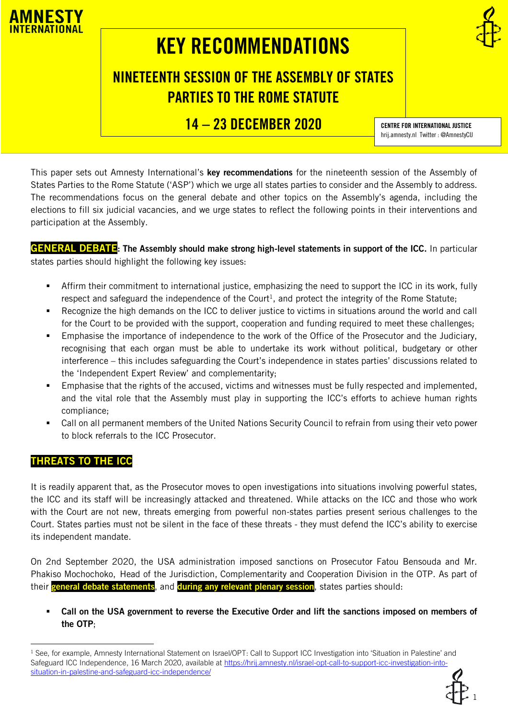

# KEY RECOMMENDATIONS

## NINETEENTH SESSION OF THE ASSEMBLY OF STATES PARTIES TO THE ROME STATUTE

14 - 23 DECEMBER 2020 CENTRE FOR INTERNATIONAL JUSTICE

hrij.amnesty.nl Twitter : @AmnestyCIJ

This paper sets out Amnesty International's key recommendations for the nineteenth session of the Assembly of States Parties to the Rome Statute ('ASP') which we urge all states parties to consider and the Assembly to address. The recommendations focus on the general debate and other topics on the Assembly's agenda, including the elections to fill six judicial vacancies, and we urge states to reflect the following points in their interventions and participation at the Assembly.

GENERAL DEBATE: The Assembly should make strong high-level statements in support of the ICC. In particular states parties should highlight the following key issues:

- Affirm their commitment to international justice, emphasizing the need to support the ICC in its work, fully respect and safeguard the independence of the Court<sup>1</sup>, and protect the integrity of the Rome Statute;
- Recognize the high demands on the ICC to deliver justice to victims in situations around the world and call for the Court to be provided with the support, cooperation and funding required to meet these challenges;
- Emphasise the importance of independence to the work of the Office of the Prosecutor and the Judiciary, recognising that each organ must be able to undertake its work without political, budgetary or other interference – this includes safeguarding the Court's independence in states parties' discussions related to the 'Independent Expert Review' and complementarity;
- Emphasise that the rights of the accused, victims and witnesses must be fully respected and implemented, and the vital role that the Assembly must play in supporting the ICC's efforts to achieve human rights compliance;
- Call on all permanent members of the United Nations Security Council to refrain from using their veto power to block referrals to the ICC Prosecutor.

## THREATS TO THE ICC

It is readily apparent that, as the Prosecutor moves to open investigations into situations involving powerful states, the ICC and its staff will be increasingly attacked and threatened. While attacks on the ICC and those who work with the Court are not new, threats emerging from powerful non-states parties present serious challenges to the Court. States parties must not be silent in the face of these threats - they must defend the ICC's ability to exercise its independent mandate.

On 2nd September 2020, the USA administration imposed sanctions on Prosecutor Fatou Bensouda and Mr. Phakiso Mochochoko, Head of the Jurisdiction, Complementarity and Cooperation Division in the OTP. As part of their general debate statements, and during any relevant plenary session, states parties should:

Call on the USA government to reverse the Executive Order and lift the sanctions imposed on members of the OTP;

<sup>1</sup> See, for example, Amnesty International Statement on Israel/OPT: Call to Support ICC Investigation into 'Situation in Palestine' and Safeguard ICC Independence, 16 March 2020, available at [https://hrij.amnesty.nl/israel-opt-call-to-support-icc-investigation-into](https://hrij.amnesty.nl/israel-opt-call-to-support-icc-investigation-into-situation-in-palestine-and-safeguard-icc-independence/)[situation-in-palestine-and-safeguard-icc-independence/](https://hrij.amnesty.nl/israel-opt-call-to-support-icc-investigation-into-situation-in-palestine-and-safeguard-icc-independence/)

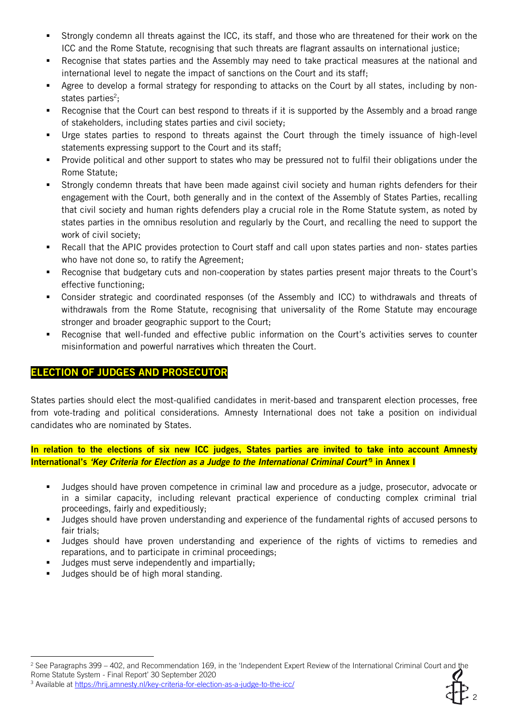- Strongly condemn all threats against the ICC, its staff, and those who are threatened for their work on the ICC and the Rome Statute, recognising that such threats are flagrant assaults on international justice;
- Recognise that states parties and the Assembly may need to take practical measures at the national and international level to negate the impact of sanctions on the Court and its staff;
- Agree to develop a formal strategy for responding to attacks on the Court by all states, including by nonstates parties<sup>2</sup>;
- Recognise that the Court can best respond to threats if it is supported by the Assembly and a broad range of stakeholders, including states parties and civil society;
- Urge states parties to respond to threats against the Court through the timely issuance of high-level statements expressing support to the Court and its staff;
- Provide political and other support to states who may be pressured not to fulfil their obligations under the Rome Statute;
- Strongly condemn threats that have been made against civil society and human rights defenders for their engagement with the Court, both generally and in the context of the Assembly of States Parties, recalling that civil society and human rights defenders play a crucial role in the Rome Statute system, as noted by states parties in the omnibus resolution and regularly by the Court, and recalling the need to support the work of civil society;
- Recall that the APIC provides protection to Court staff and call upon states parties and non- states parties who have not done so, to ratify the Agreement;
- Recognise that budgetary cuts and non-cooperation by states parties present major threats to the Court's effective functioning;
- Consider strategic and coordinated responses (of the Assembly and ICC) to withdrawals and threats of withdrawals from the Rome Statute, recognising that universality of the Rome Statute may encourage stronger and broader geographic support to the Court;
- Recognise that well-funded and effective public information on the Court's activities serves to counter misinformation and powerful narratives which threaten the Court.

## ELECTION OF JUDGES AND PROSECUTOR

States parties should elect the most-qualified candidates in merit-based and transparent election processes, free from vote-trading and political considerations. Amnesty International does not take a position on individual candidates who are nominated by States.

In relation to the elections of six new ICC judges, States parties are invited to take into account Amnesty International's *'Key Criteria for Election as a Judge to the International Criminal Court'*<sup>3</sup> in Annex I

- Judges should have proven competence in criminal law and procedure as a judge, prosecutor, advocate or in a similar capacity, including relevant practical experience of conducting complex criminal trial proceedings, fairly and expeditiously;
- Judges should have proven understanding and experience of the fundamental rights of accused persons to fair trials;
- Judges should have proven understanding and experience of the rights of victims to remedies and reparations, and to participate in criminal proceedings;
- Judges must serve independently and impartially;
- Judges should be of high moral standing.

2

<sup>&</sup>lt;sup>2</sup> See Paragraphs 399 – 402, and Recommendation 169, in the 'Independent Expert Review of the International Criminal Court and the Rome Statute System - Final Report' 30 September 2020

<sup>&</sup>lt;sup>3</sup> Available a[t https://hrij.amnesty.nl/key-criteria-for-election-as-a-judge-to-the-icc/](https://hrij.amnesty.nl/key-criteria-for-election-as-a-judge-to-the-icc/)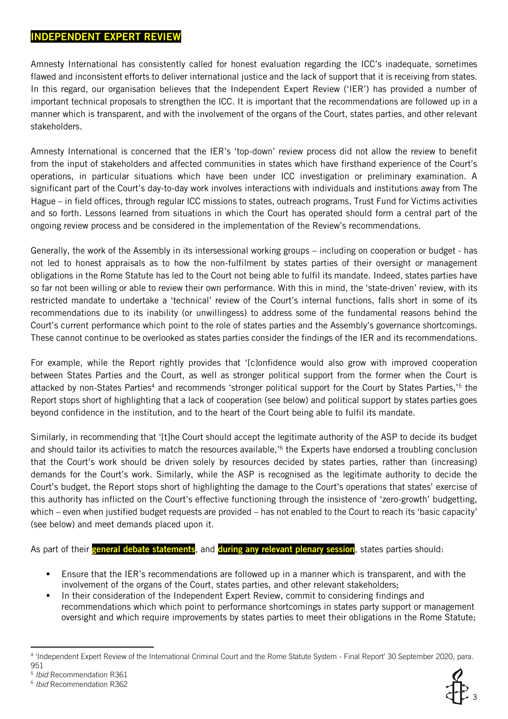## INDEPENDENT EXPERT REVIEW

Amnesty International has consistently called for honest evaluation regarding the ICC's inadequate, sometimes flawed and inconsistent efforts to deliver international justice and the lack of support that it is receiving from states. In this regard, our organisation believes that the Independent Expert Review ('IER') has provided a number of important technical proposals to strengthen the ICC. It is important that the recommendations are followed up in a manner which is transparent, and with the involvement of the organs of the Court, states parties, and other relevant stakeholders.

Amnesty International is concerned that the IER's 'top-down' review process did not allow the review to benefit from the input of stakeholders and affected communities in states which have firsthand experience of the Court's operations, in particular situations which have been under ICC investigation or preliminary examination. A significant part of the Court's day-to-day work involves interactions with individuals and institutions away from The Hague – in field offices, through regular ICC missions to states, outreach programs, Trust Fund for Victims activities and so forth. Lessons learned from situations in which the Court has operated should form a central part of the ongoing review process and be considered in the implementation of the Review's recommendations.

Generally, the work of the Assembly in its intersessional working groups – including on cooperation or budget - has not led to honest appraisals as to how the non-fulfilment by states parties of their oversight or management obligations in the Rome Statute has led to the Court not being able to fulfil its mandate. Indeed, states parties have so far not been willing or able to review their own performance. With this in mind, the 'state-driven' review, with its restricted mandate to undertake a 'technical' review of the Court's internal functions, falls short in some of its recommendations due to its inability (or unwillingess) to address some of the fundamental reasons behind the Court's current performance which point to the role of states parties and the Assembly's governance shortcomings. These cannot continue to be overlooked as states parties consider the findings of the IER and its recommendations.

For example, while the Report rightly provides that '[c]onfidence would also grow with improved cooperation between States Parties and the Court, as well as stronger political support from the former when the Court is attacked by non-States Parties<sup>4</sup> and recommends 'stronger political support for the Court by States Parties,'<sup>5</sup> the Report stops short of highlighting that a lack of cooperation (see below) and political support by states parties goes beyond confidence in the institution, and to the heart of the Court being able to fulfil its mandate.

Similarly, in recommending that '[t]he Court should accept the legitimate authority of the ASP to decide its budget and should tailor its activities to match the resources available,'<sup>6</sup> the Experts have endorsed a troubling conclusion that the Court's work should be driven solely by resources decided by states parties, rather than (increasing) demands for the Court's work. Similarly, while the ASP is recognised as the legitimate authority to decide the Court's budget, the Report stops short of highlighting the damage to the Court's operations that states' exercise of this authority has inflicted on the Court's effective functioning through the insistence of 'zero-growth' budgetting, which – even when justified budget requests are provided – has not enabled to the Court to reach its 'basic capacity' (see below) and meet demands placed upon it.

As part of their general debate statements, and during any relevant plenary session, states parties should:

- Ensure that the IER's recommendations are followed up in a manner which is transparent, and with the involvement of the organs of the Court, states parties, and other relevant stakeholders;
- In their consideration of the Independent Expert Review, commit to considering findings and recommendations which which point to performance shortcomings in states party support or management oversight and which require improvements by states parties to meet their obligations in the Rome Statute;



<sup>4</sup> 'Independent Expert Review of the International Criminal Court and the Rome Statute System - Final Report' 30 September 2020, para. 951

<sup>5</sup> *Ibid* Recommendation R361

<sup>6</sup> *Ibid* Recommendation R362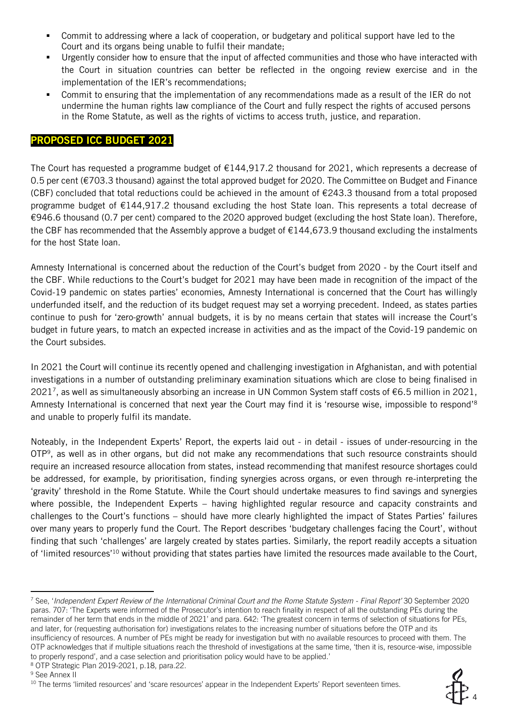- Commit to addressing where a lack of cooperation, or budgetary and political support have led to the Court and its organs being unable to fulfil their mandate;
- Urgently consider how to ensure that the input of affected communities and those who have interacted with the Court in situation countries can better be reflected in the ongoing review exercise and in the implementation of the IER's recommendations;
- Commit to ensuring that the implementation of any recommendations made as a result of the IER do not undermine the human rights law compliance of the Court and fully respect the rights of accused persons in the Rome Statute, as well as the rights of victims to access truth, justice, and reparation.

## PROPOSED ICC BUDGET 2021

The Court has requested a programme budget of €144,917.2 thousand for 2021, which represents a decrease of 0.5 per cent (€703.3 thousand) against the total approved budget for 2020. The Committee on Budget and Finance (CBF) concluded that total reductions could be achieved in the amount of €243.3 thousand from a total proposed programme budget of €144,917.2 thousand excluding the host State loan. This represents a total decrease of €946.6 thousand (0.7 per cent) compared to the 2020 approved budget (excluding the host State loan). Therefore, the CBF has recommended that the Assembly approve a budget of €144,673.9 thousand excluding the instalments for the host State loan.

Amnesty International is concerned about the reduction of the Court's budget from 2020 - by the Court itself and the CBF. While reductions to the Court's budget for 2021 may have been made in recognition of the impact of the Covid-19 pandemic on states parties' economies, Amnesty International is concerned that the Court has willingly underfunded itself, and the reduction of its budget request may set a worrying precedent. Indeed, as states parties continue to push for 'zero-growth' annual budgets, it is by no means certain that states will increase the Court's budget in future years, to match an expected increase in activities and as the impact of the Covid-19 pandemic on the Court subsides.

In 2021 the Court will continue its recently opened and challenging investigation in Afghanistan, and with potential investigations in a number of outstanding preliminary examination situations which are close to being finalised in 2021<sup>7</sup> , as well as simultaneously absorbing an increase in UN Common System staff costs of €6.5 million in 2021, Amnesty International is concerned that next year the Court may find it is 'resourse wise, impossible to respond'<sup>8</sup> and unable to properly fulfil its mandate.

Noteably, in the Independent Experts' Report, the experts laid out - in detail - issues of under-resourcing in the OTP<sup>9</sup> , as well as in other organs, but did not make any recommendations that such resource constraints should require an increased resource allocation from states, instead recommending that manifest resource shortages could be addressed, for example, by prioritisation, finding synergies across organs, or even through re-interpreting the 'gravity' threshold in the Rome Statute. While the Court should undertake measures to find savings and synergies where possible, the Independent Experts – having highlighted regular resource and capacity constraints and challenges to the Court's functions – should have more clearly highlighted the impact of States Parties' failures over many years to properly fund the Court. The Report describes 'budgetary challenges facing the Court', without finding that such 'challenges' are largely created by states parties. Similarly, the report readily accepts a situation of 'limited resources'<sup>10</sup> without providing that states parties have limited the resources made available to the Court,



<sup>7</sup> See, '*Independent Expert Review of the International Criminal Court and the Rome Statute System - Final Report'* 30 September 2020 paras. 707: 'The Experts were informed of the Prosecutor's intention to reach finality in respect of all the outstanding PEs during the remainder of her term that ends in the middle of 2021' and para. 642: 'The greatest concern in terms of selection of situations for PEs, and later, for (requesting authorisation for) investigations relates to the increasing number of situations before the OTP and its insufficiency of resources. A number of PEs might be ready for investigation but with no available resources to proceed with them. The OTP acknowledges that if multiple situations reach the threshold of investigations at the same time, 'then it is, resource-wise, impossible to properly respond', and a case selection and prioritisation policy would have to be applied.'

<sup>8</sup> OTP Strategic Plan 2019-2021, p.18, para.22.

<sup>&</sup>lt;sup>9</sup> See Annex II

<sup>&</sup>lt;sup>10</sup> The terms 'limited resources' and 'scare resources' appear in the Independent Experts' Report seventeen times.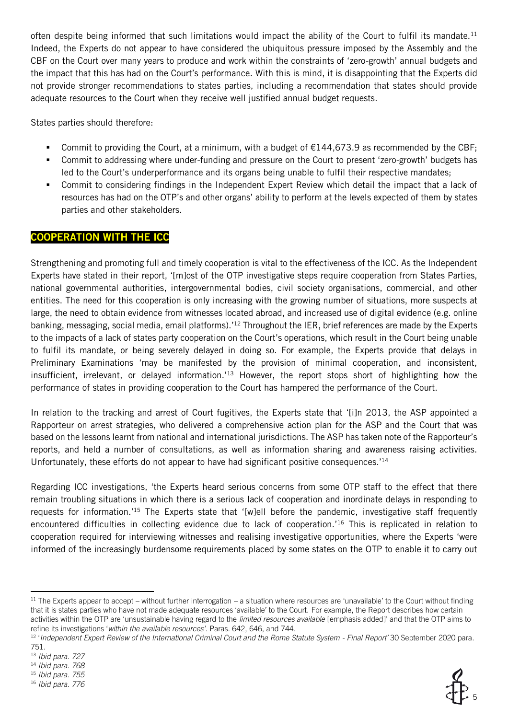often despite being informed that such limitations would impact the ability of the Court to fulfil its mandate.<sup>11</sup> Indeed, the Experts do not appear to have considered the ubiquitous pressure imposed by the Assembly and the CBF on the Court over many years to produce and work within the constraints of 'zero-growth' annual budgets and the impact that this has had on the Court's performance. With this is mind, it is disappointing that the Experts did not provide stronger recommendations to states parties, including a recommendation that states should provide adequate resources to the Court when they receive well justified annual budget requests.

States parties should therefore:

- Commit to providing the Court, at a minimum, with a budget of  $\epsilon$ 144,673.9 as recommended by the CBF;
- Commit to addressing where under-funding and pressure on the Court to present 'zero-growth' budgets has led to the Court's underperformance and its organs being unable to fulfil their respective mandates;
- Commit to considering findings in the Independent Expert Review which detail the impact that a lack of resources has had on the OTP's and other organs' ability to perform at the levels expected of them by states parties and other stakeholders.

## COOPERATION WITH THE ICC

Strengthening and promoting full and timely cooperation is vital to the effectiveness of the ICC. As the Independent Experts have stated in their report, '[m]ost of the OTP investigative steps require cooperation from States Parties, national governmental authorities, intergovernmental bodies, civil society organisations, commercial, and other entities. The need for this cooperation is only increasing with the growing number of situations, more suspects at large, the need to obtain evidence from witnesses located abroad, and increased use of digital evidence (e.g. online banking, messaging, social media, email platforms).<sup>'12</sup> Throughout the IER, brief references are made by the Experts to the impacts of a lack of states party cooperation on the Court's operations, which result in the Court being unable to fulfil its mandate, or being severely delayed in doing so. For example, the Experts provide that delays in Preliminary Examinations 'may be manifested by the provision of minimal cooperation, and inconsistent, insufficient, irrelevant, or delayed information.'<sup>13</sup> However, the report stops short of highlighting how the performance of states in providing cooperation to the Court has hampered the performance of the Court.

In relation to the tracking and arrest of Court fugitives, the Experts state that '[i]n 2013, the ASP appointed a Rapporteur on arrest strategies, who delivered a comprehensive action plan for the ASP and the Court that was based on the lessons learnt from national and international jurisdictions. The ASP has taken note of the Rapporteur's reports, and held a number of consultations, as well as information sharing and awareness raising activities. Unfortunately, these efforts do not appear to have had significant positive consequences.'<sup>14</sup>

Regarding ICC investigations, 'the Experts heard serious concerns from some OTP staff to the effect that there remain troubling situations in which there is a serious lack of cooperation and inordinate delays in responding to requests for information.'<sup>15</sup> The Experts state that '[w]ell before the pandemic, investigative staff frequently encountered difficulties in collecting evidence due to lack of cooperation.'<sup>16</sup> This is replicated in relation to cooperation required for interviewing witnesses and realising investigative opportunities, where the Experts 'were informed of the increasingly burdensome requirements placed by some states on the OTP to enable it to carry out



5

 $11$  The Experts appear to accept – without further interrogation – a situation where resources are 'unavailable' to the Court without finding that it is states parties who have not made adequate resources 'available' to the Court. For example, the Report describes how certain activities within the OTP are 'unsustainable having regard to the *limited resources available* [emphasis added]' and that the OTP aims to refine its investigations '*within the available resources'*. Paras. 642, 646, and 744.

<sup>12</sup> '*Independent Expert Review of the International Criminal Court and the Rome Statute System - Final Report'* 30 September 2020 para.

<sup>751.</sup>

<sup>13</sup> *Ibid para. 727*

<sup>14</sup> *Ibid para. 768*

<sup>15</sup> *Ibid para. 755* <sup>16</sup> *Ibid para. 776*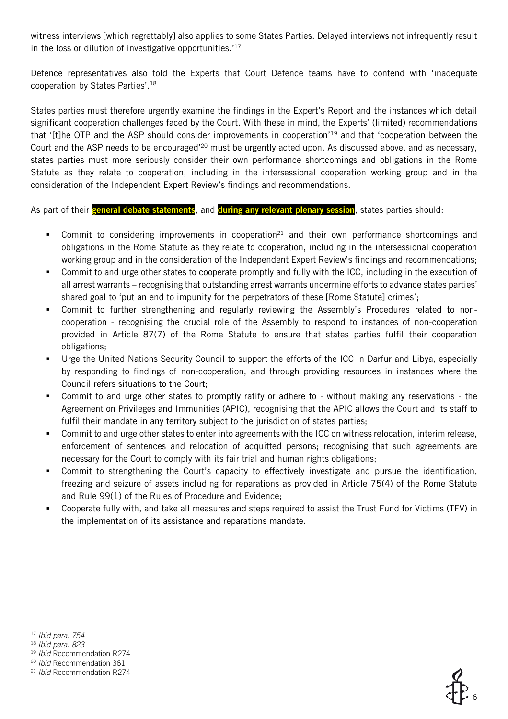witness interviews [which regrettably] also applies to some States Parties. Delayed interviews not infrequently result in the loss or dilution of investigative opportunities.'<sup>17</sup>

Defence representatives also told the Experts that Court Defence teams have to contend with 'inadequate cooperation by States Parties'.<sup>18</sup>

States parties must therefore urgently examine the findings in the Expert's Report and the instances which detail significant cooperation challenges faced by the Court. With these in mind, the Experts' (limited) recommendations that '[t]he OTP and the ASP should consider improvements in cooperation'<sup>19</sup> and that 'cooperation between the Court and the ASP needs to be encouraged'<sup>20</sup> must be urgently acted upon. As discussed above, and as necessary, states parties must more seriously consider their own performance shortcomings and obligations in the Rome Statute as they relate to cooperation, including in the intersessional cooperation working group and in the consideration of the Independent Expert Review's findings and recommendations.

As part of their general debate statements, and during any relevant plenary session, states parties should:

- Commit to considering improvements in cooperation<sup>21</sup> and their own performance shortcomings and obligations in the Rome Statute as they relate to cooperation, including in the intersessional cooperation working group and in the consideration of the Independent Expert Review's findings and recommendations;
- Commit to and urge other states to cooperate promptly and fully with the ICC, including in the execution of all arrest warrants – recognising that outstanding arrest warrants undermine efforts to advance states parties' shared goal to 'put an end to impunity for the perpetrators of these [Rome Statute] crimes';
- Commit to further strengthening and regularly reviewing the Assembly's Procedures related to noncooperation - recognising the crucial role of the Assembly to respond to instances of non-cooperation provided in Article 87(7) of the Rome Statute to ensure that states parties fulfil their cooperation obligations;
- Urge the United Nations Security Council to support the efforts of the ICC in Darfur and Libya, especially by responding to findings of non-cooperation, and through providing resources in instances where the Council refers situations to the Court;
- Commit to and urge other states to promptly ratify or adhere to without making any reservations the Agreement on Privileges and Immunities (APIC), recognising that the APIC allows the Court and its staff to fulfil their mandate in any territory subject to the jurisdiction of states parties;
- Commit to and urge other states to enter into agreements with the ICC on witness relocation, interim release, enforcement of sentences and relocation of acquitted persons; recognising that such agreements are necessary for the Court to comply with its fair trial and human rights obligations;
- Commit to strengthening the Court's capacity to effectively investigate and pursue the identification, freezing and seizure of assets including for reparations as provided in Article 75(4) of the Rome Statute and Rule 99(1) of the Rules of Procedure and Evidence;
- Cooperate fully with, and take all measures and steps required to assist the Trust Fund for Victims (TFV) in the implementation of its assistance and reparations mandate.



<sup>17</sup> *Ibid para. 754*

<sup>18</sup> *Ibid para. 823*

<sup>19</sup> *Ibid* Recommendation R274

<sup>20</sup> *Ibid* Recommendation 361

<sup>21</sup> *Ibid* Recommendation R274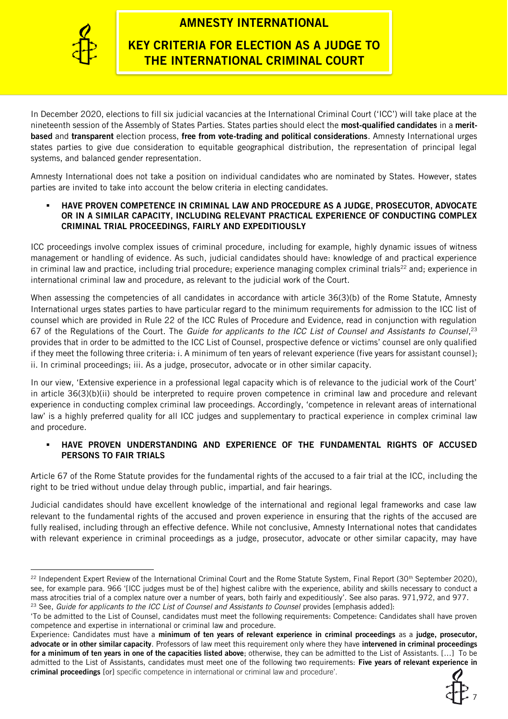

## AMNESTY INTERNATIONAL

## KEY CRITERIA FOR ELECTION AS A JUDGE TO THE INTERNATIONAL CRIMINAL COURT

In December 2020, elections to fill six judicial vacancies at the International Criminal Court ('ICC') will take place at the nineteenth session of the Assembly of States Parties. States parties should elect the most-qualified candidates in a meritbased and transparent election process, free from vote-trading and political considerations. Amnesty International urges states parties to give due consideration to equitable geographical distribution, the representation of principal legal systems, and balanced gender representation.

Amnesty International does not take a position on individual candidates who are nominated by States. However, states parties are invited to take into account the below criteria in electing candidates.

#### HAVE PROVEN COMPETENCE IN CRIMINAL LAW AND PROCEDURE AS A JUDGE, PROSECUTOR, ADVOCATE OR IN A SIMILAR CAPACITY, INCLUDING RELEVANT PRACTICAL EXPERIENCE OF CONDUCTING COMPLEX CRIMINAL TRIAL PROCEEDINGS, FAIRLY AND EXPEDITIOUSLY

ICC proceedings involve complex issues of criminal procedure, including for example, highly dynamic issues of witness management or handling of evidence. As such, judicial candidates should have: knowledge of and practical experience in criminal law and practice, including trial procedure; experience managing complex criminal trials<sup>22</sup> and; experience in international criminal law and procedure, as relevant to the judicial work of the Court.

When assessing the competencies of all candidates in accordance with article 36(3)(b) of the Rome Statute, Amnesty International urges states parties to have particular regard to the minimum requirements for admission to the ICC list of counsel which are provided in Rule 22 of the ICC Rules of Procedure and Evidence, read in conjunction with regulation 67 of the Regulations of the Court. The *Guide for applicants to the ICC List of Counsel and Assistants to Counsel*, 23 provides that in order to be admitted to the ICC List of Counsel, prospective defence or victims' counsel are only qualified if they meet the following three criteria: i. A minimum of ten years of relevant experience (five years for assistant counsel); ii. In criminal proceedings; iii. As a judge, prosecutor, advocate or in other similar capacity.

In our view, 'Extensive experience in a professional legal capacity which is of relevance to the judicial work of the Court' in article 36(3)(b)(ii) should be interpreted to require proven competence in criminal law and procedure and relevant experience in conducting complex criminal law proceedings. Accordingly, 'competence in relevant areas of international law' is a highly preferred quality for all ICC judges and supplementary to practical experience in complex criminal law and procedure.

## HAVE PROVEN UNDERSTANDING AND EXPERIENCE OF THE FUNDAMENTAL RIGHTS OF ACCUSED PERSONS TO FAIR TRIALS

Article 67 of the Rome Statute provides for the fundamental rights of the accused to a fair trial at the ICC, including the right to be tried without undue delay through public, impartial, and fair hearings.

Judicial candidates should have excellent knowledge of the international and regional legal frameworks and case law relevant to the fundamental rights of the accused and proven experience in ensuring that the rights of the accused are fully realised, including through an effective defence. While not conclusive, Amnesty International notes that candidates with relevant experience in criminal proceedings as a judge, prosecutor, advocate or other similar capacity, may have

Experience: Candidates must have a minimum of ten years of relevant experience in criminal proceedings as a judge, prosecutor, advocate or in other similar capacity. Professors of law meet this requirement only where they have intervened in criminal proceedings for a minimum of ten years in one of the capacities listed above; otherwise, they can be admitted to the List of Assistants. […] To be admitted to the List of Assistants, candidates must meet one of the following two requirements: Five years of relevant experience in criminal proceedings [or] specific competence in international or criminal law and procedure'.



<sup>&</sup>lt;sup>22</sup> Independent Expert Review of the International Criminal Court and the Rome Statute System, Final Report (30<sup>th</sup> September 2020), see, for example para. 966 '[ICC judges must be of the] highest calibre with the experience, ability and skills necessary to conduct a mass atrocities trial of a complex nature over a number of years, both fairly and expeditiously'. See also paras. 971,972, and 977. <sup>23</sup> See, *Guide for applicants to the ICC List of Counsel and Assistants to Counsel provides [emphasis added]:* 

<sup>&#</sup>x27;To be admitted to the List of Counsel, candidates must meet the following requirements: Competence: Candidates shall have proven competence and expertise in international or criminal law and procedure.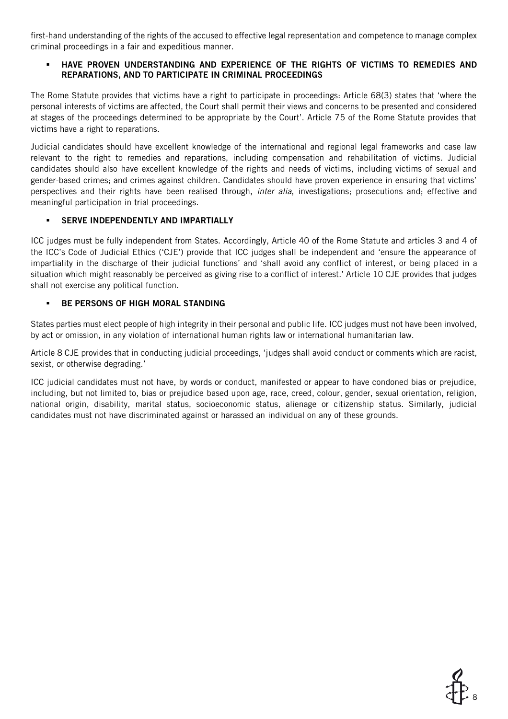first-hand understanding of the rights of the accused to effective legal representation and competence to manage complex criminal proceedings in a fair and expeditious manner.

## HAVE PROVEN UNDERSTANDING AND EXPERIENCE OF THE RIGHTS OF VICTIMS TO REMEDIES AND REPARATIONS, AND TO PARTICIPATE IN CRIMINAL PROCEEDINGS

The Rome Statute provides that victims have a right to participate in proceedings: Article 68(3) states that 'where the personal interests of victims are affected, the Court shall permit their views and concerns to be presented and considered at stages of the proceedings determined to be appropriate by the Court'. Article 75 of the Rome Statute provides that victims have a right to reparations.

Judicial candidates should have excellent knowledge of the international and regional legal frameworks and case law relevant to the right to remedies and reparations, including compensation and rehabilitation of victims. Judicial candidates should also have excellent knowledge of the rights and needs of victims, including victims of sexual and gender-based crimes; and crimes against children. Candidates should have proven experience in ensuring that victims' perspectives and their rights have been realised through, *inter alia*, investigations; prosecutions and; effective and meaningful participation in trial proceedings.

## SERVE INDEPENDENTLY AND IMPARTIALLY

ICC judges must be fully independent from States. Accordingly, Article 40 of the Rome Statute and articles 3 and 4 of the ICC's Code of Judicial Ethics ('CJE') provide that ICC judges shall be independent and 'ensure the appearance of impartiality in the discharge of their judicial functions' and 'shall avoid any conflict of interest, or being placed in a situation which might reasonably be perceived as giving rise to a conflict of interest.' Article 10 CJE provides that judges shall not exercise any political function.

### BE PERSONS OF HIGH MORAL STANDING

States parties must elect people of high integrity in their personal and public life. ICC judges must not have been involved, by act or omission, in any violation of international human rights law or international humanitarian law.

Article 8 CJE provides that in conducting judicial proceedings, 'judges shall avoid conduct or comments which are racist, sexist, or otherwise degrading.'

ICC judicial candidates must not have, by words or conduct, manifested or appear to have condoned bias or prejudice, including, but not limited to, bias or prejudice based upon age, race, creed, colour, gender, sexual orientation, religion, national origin, disability, marital status, socioeconomic status, alienage or citizenship status. Similarly, judicial candidates must not have discriminated against or harassed an individual on any of these grounds.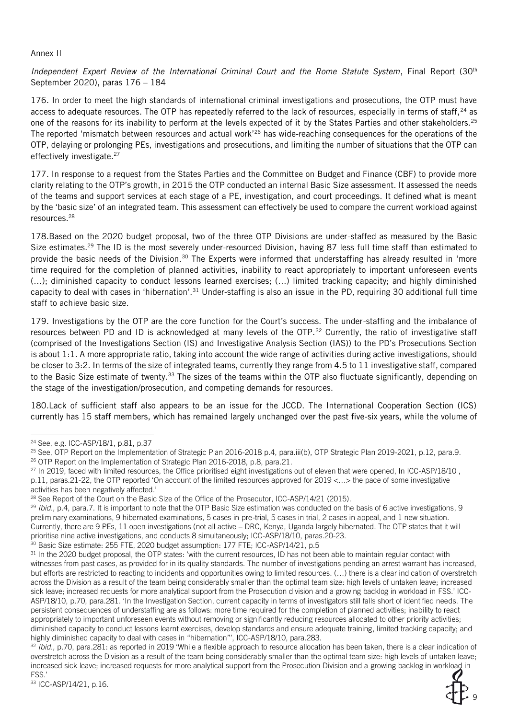#### Annex II

Independent Expert Review of the International Criminal Court and the Rome Statute System, Final Report (30<sup>th</sup>) September 2020), paras 176 – 184

176. In order to meet the high standards of international criminal investigations and prosecutions, the OTP must have access to adequate resources. The OTP has repeatedly referred to the lack of resources, especially in terms of staff,<sup>24</sup> as one of the reasons for its inability to perform at the levels expected of it by the States Parties and other stakeholders.<sup>25</sup> The reported 'mismatch between resources and actual work'<sup>26</sup> has wide-reaching consequences for the operations of the OTP, delaying or prolonging PEs, investigations and prosecutions, and limiting the number of situations that the OTP can effectively investigate.<sup>27</sup>

177. In response to a request from the States Parties and the Committee on Budget and Finance (CBF) to provide more clarity relating to the OTP's growth, in 2015 the OTP conducted an internal Basic Size assessment. It assessed the needs of the teams and support services at each stage of a PE, investigation, and court proceedings. It defined what is meant by the 'basic size' of an integrated team. This assessment can effectively be used to compare the current workload against resources.<sup>28</sup>

178.Based on the 2020 budget proposal, two of the three OTP Divisions are under-staffed as measured by the Basic Size estimates.<sup>29</sup> The ID is the most severely under-resourced Division, having 87 less full time staff than estimated to provide the basic needs of the Division.<sup>30</sup> The Experts were informed that understaffing has already resulted in 'more time required for the completion of planned activities, inability to react appropriately to important unforeseen events (…); diminished capacity to conduct lessons learned exercises; (…) limited tracking capacity; and highly diminished capacity to deal with cases in 'hibernation'.<sup>31</sup> Under-staffing is also an issue in the PD, requiring 30 additional full time staff to achieve basic size.

179. Investigations by the OTP are the core function for the Court's success. The under-staffing and the imbalance of resources between PD and ID is acknowledged at many levels of the OTP.<sup>32</sup> Currently, the ratio of investigative staff (comprised of the Investigations Section (IS) and Investigative Analysis Section (IAS)) to the PD's Prosecutions Section is about 1:1. A more appropriate ratio, taking into account the wide range of activities during active investigations, should be closer to 3:2. In terms of the size of integrated teams, currently they range from 4.5 to 11 investigative staff, compared to the Basic Size estimate of twenty.<sup>33</sup> The sizes of the teams within the OTP also fluctuate significantly, depending on the stage of the investigation/prosecution, and competing demands for resources.

180.Lack of sufficient staff also appears to be an issue for the JCCD. The International Cooperation Section (ICS) currently has 15 staff members, which has remained largely unchanged over the past five-six years, while the volume of

<sup>30</sup> Basic Size estimate: 255 FTE, 2020 budget assumption: 177 FTE; ICC-ASP/14/21, p.5



<sup>24</sup> See, e.g. ICC-ASP/18/1, p.81, p.37

<sup>&</sup>lt;sup>25</sup> See, OTP Report on the Implementation of Strategic Plan 2016-2018 p.4, para.iii(b), OTP Strategic Plan 2019-2021, p.12, para.9. <sup>26</sup> OTP Report on the Implementation of Strategic Plan 2016-2018, p.8, para.21.

<sup>&</sup>lt;sup>27</sup> In 2019, faced with limited resources, the Office prioritised eight investigations out of eleven that were opened, In ICC-ASP/18/10, p.11, paras.21-22, the OTP reported 'On account of the limited resources approved for 2019 <…> the pace of some investigative activities has been negatively affected.'

<sup>&</sup>lt;sup>28</sup> See Report of the Court on the Basic Size of the Office of the Prosecutor, ICC-ASP/14/21 (2015).

<sup>&</sup>lt;sup>29</sup> *Ibid.*, p.4, para.7. It is important to note that the OTP Basic Size estimation was conducted on the basis of 6 active investigations, 9 preliminary examinations, 9 hibernated examinations, 5 cases in pre-trial, 5 cases in trial, 2 cases in appeal, and 1 new situation. Currently, there are 9 PEs, 11 open investigations (not all active – DRC, Kenya, Uganda largely hibernated. The OTP states that it will prioritise nine active investigations, and conducts 8 simultaneously; ICC-ASP/18/10, paras.20-23.

<sup>31</sup> In the 2020 budget proposal, the OTP states: 'with the current resources, ID has not been able to maintain regular contact with witnesses from past cases, as provided for in its quality standards. The number of investigations pending an arrest warrant has increased, but efforts are restricted to reacting to incidents and opportunities owing to limited resources. (…) there is a clear indication of overstretch across the Division as a result of the team being considerably smaller than the optimal team size: high levels of untaken leave; increased sick leave; increased requests for more analytical support from the Prosecution division and a growing backlog in workload in FSS.' ICC-ASP/18/10, p.70, para.281. 'In the Investigation Section, current capacity in terms of investigators still falls short of identified needs. The persistent consequences of understaffing are as follows: more time required for the completion of planned activities; inability to react appropriately to important unforeseen events without removing or significantly reducing resources allocated to other priority activities; diminished capacity to conduct lessons learnt exercises, develop standards and ensure adequate training, limited tracking capacity; and highly diminished capacity to deal with cases in "hibernation"', ICC-ASP/18/10, para.283.

<sup>&</sup>lt;sup>32</sup> *Ibid.*, p.70, para.281: as reported in 2019 'While a flexible approach to resource allocation has been taken, there is a clear indication of overstretch across the Division as a result of the team being considerably smaller than the optimal team size: high levels of untaken leave; increased sick leave; increased requests for more analytical support from the Prosecution Division and a growing backlog in workload in FSS.'